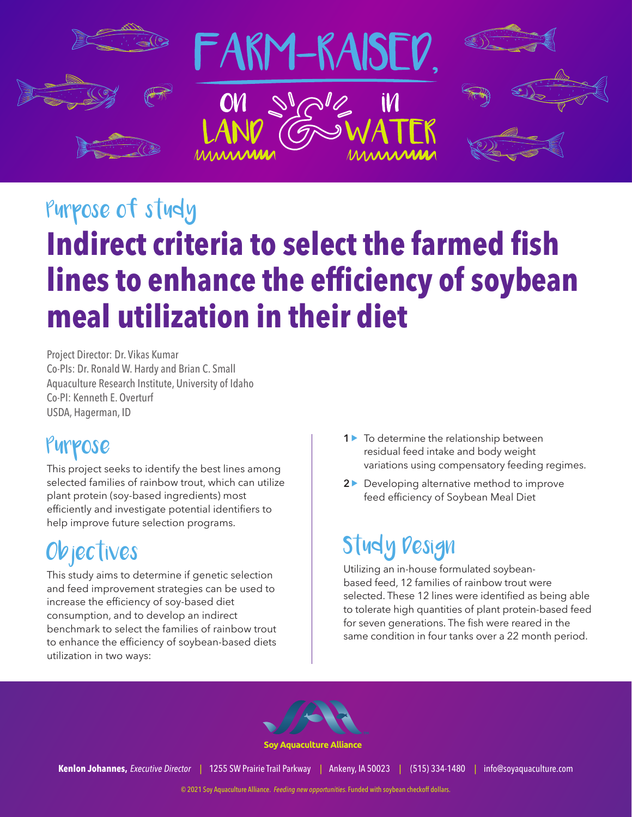

# Purpose of study **Indirect criteria to select the farmed fish lines to enhance the efficiency of soybean meal utilization in their diet**

Project Director: Dr. Vikas Kumar Co-PIs: Dr. Ronald W. Hardy and Brian C. Small Aquaculture Research Institute, University of Idaho Co-PI: Kenneth E. Overturf USDA, Hagerman, ID

### Purpose

This project seeks to identify the best lines among selected families of rainbow trout, which can utilize plant protein (soy-based ingredients) most efficiently and investigate potential identifiers to help improve future selection programs.

## Objectives

This study aims to determine if genetic selection and feed improvement strategies can be used to increase the efficiency of soy-based diet consumption, and to develop an indirect benchmark to select the families of rainbow trout to enhance the efficiency of soybean-based diets utilization in two ways:

- **1** ► To determine the relationship between residual feed intake and body weight variations using compensatory feeding regimes.
- **2** ▶ Developing alternative method to improve feed efficiency of Soybean Meal Diet

## Study Design

Utilizing an in-house formulated soybeanbased feed, 12 families of rainbow trout were selected. These 12 lines were identified as being able to tolerate high quantities of plant protein-based feed for seven generations. The fish were reared in the same condition in four tanks over a 22 month period.



**Soy Aquaculture Alliance** 

**Kenlon Johannes,** *Executive Director |* 1255 SW Prairie Trail Parkway *|* Ankeny, IA 50023 *|* (515) 334-1480 *|* info@soyaquaculture.com